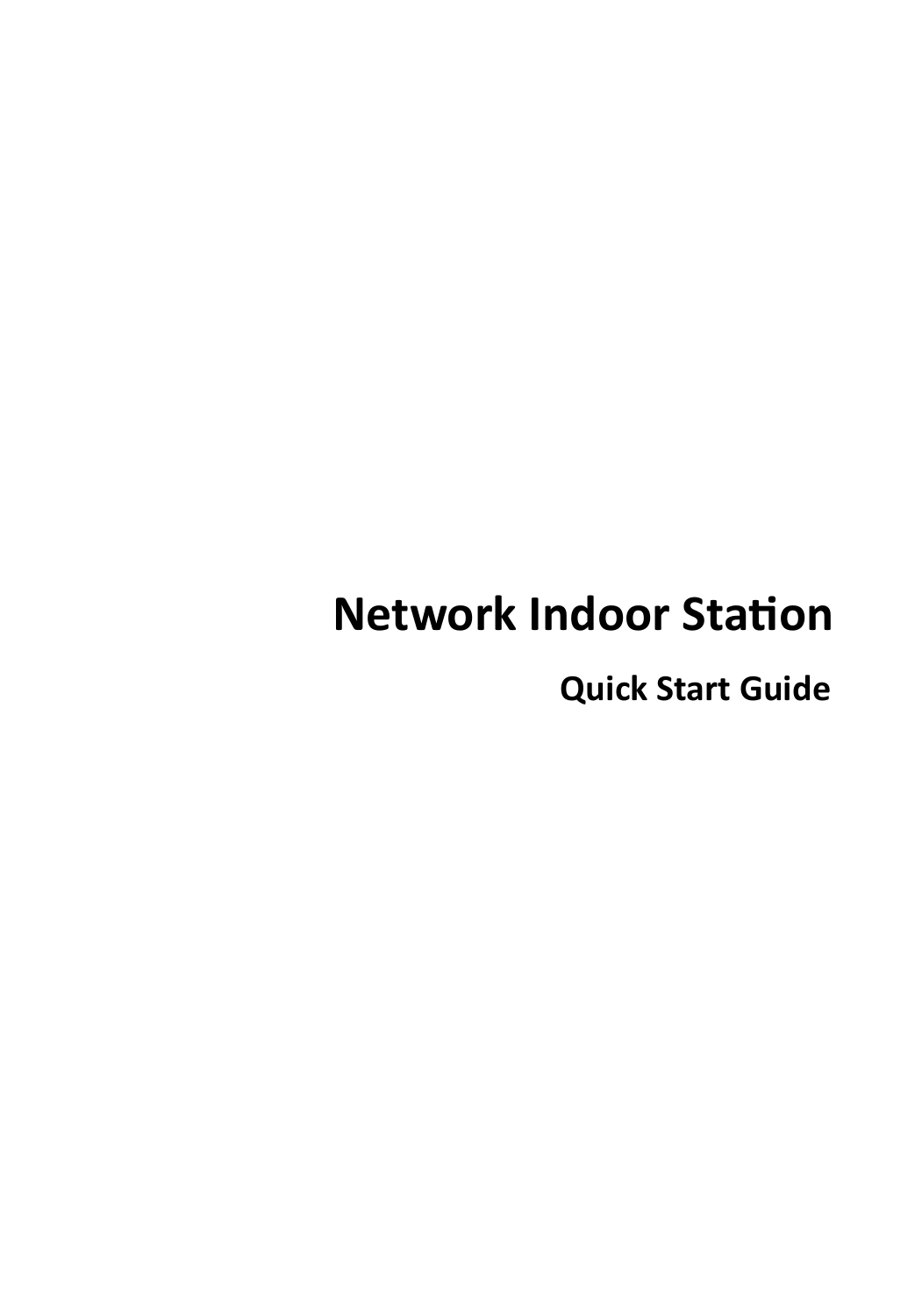# **Network Indoor Station**

**Quick Start Guide**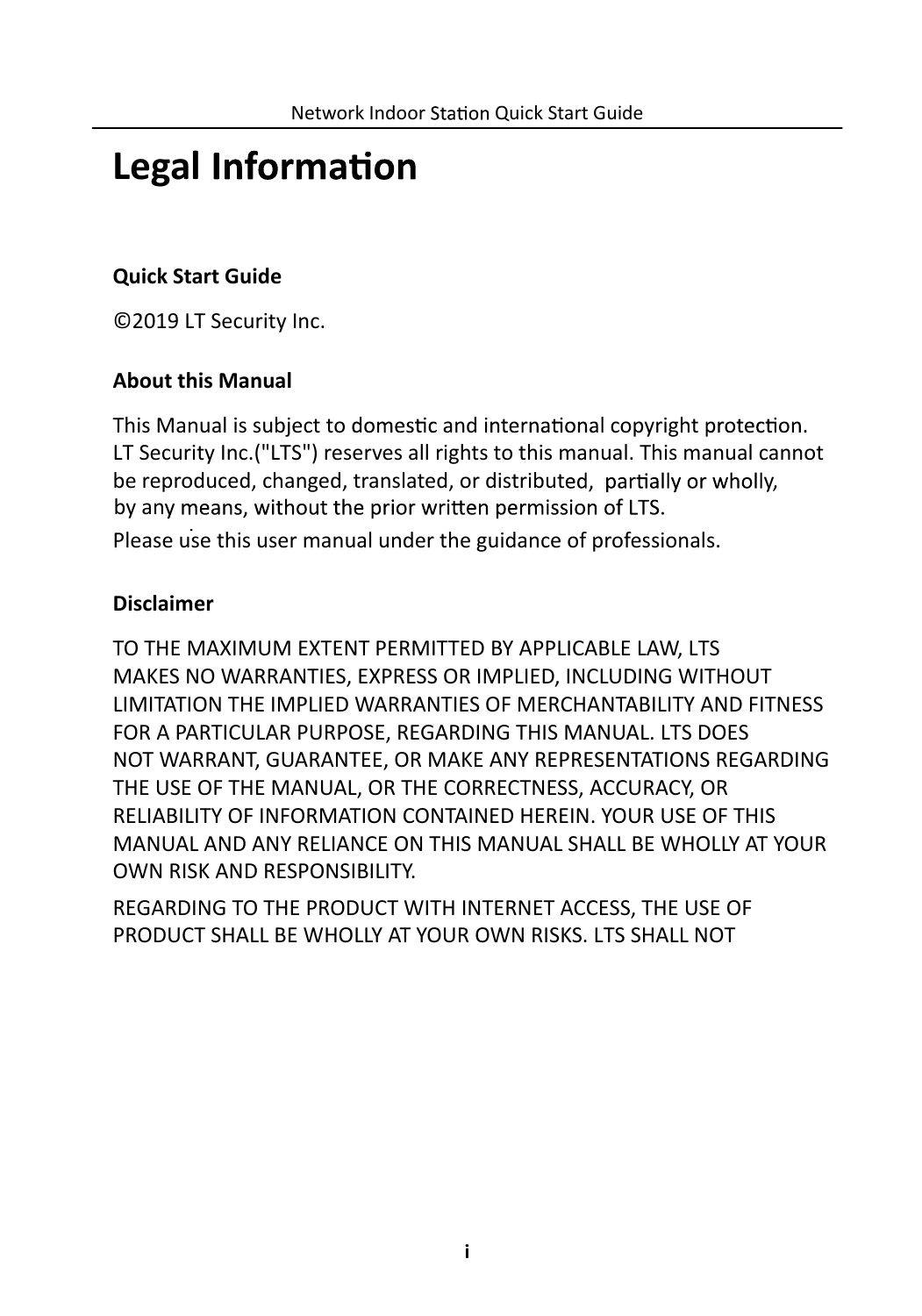# **Legal**

## **Quick Start Guide**

©2019 LT Security Inc.

### **About this Manual**

This Manual is subject to domestic and international copyright protection. LT Security Inc.("LTS") reserves all rights to this manual. This manual cannot be reproduced, changed, translated, or distributed, partially or wholly, by any means, without the prior written permission of LTS.

Please use this user manual under the guidance of professionals.

### **Disclaimer**

TO THE MAXIMUM EXTENT PERMITTED BY APPLICABLE LAW, LTS MAKES NO WARRANTIES, EXPRESS OR IMPLIED, INCLUDING WITHOUT LIMITATION THE IMPLIED WARRANTIES OF MERCHANTABILITY AND FITNESS FOR A PARTICULAR PURPOSE, REGARDING THIS MANUAL. LTS DOES NOT WARRANT, GUARANTEE, OR MAKE ANY REPRESENTATIONS REGARDING THE USE OF THE MANUAL, OR THE CORRECTNESS, ACCURACY, OR RELIABILITY OF INFORMATION CONTAINED HEREIN. YOUR USE OF THIS MANUAL AND ANY RELIANCE ON THIS MANUAL SHALL BE WHOLLY AT YOUR OWN RISK AND RESPONSIBILITY.

REGARDING TO THE PRODUCT WITH INTERNET ACCESS, THE USE OF PRODUCT SHALL BE WHOLLY AT YOUR OWN RISKS. LTS SHALL NOT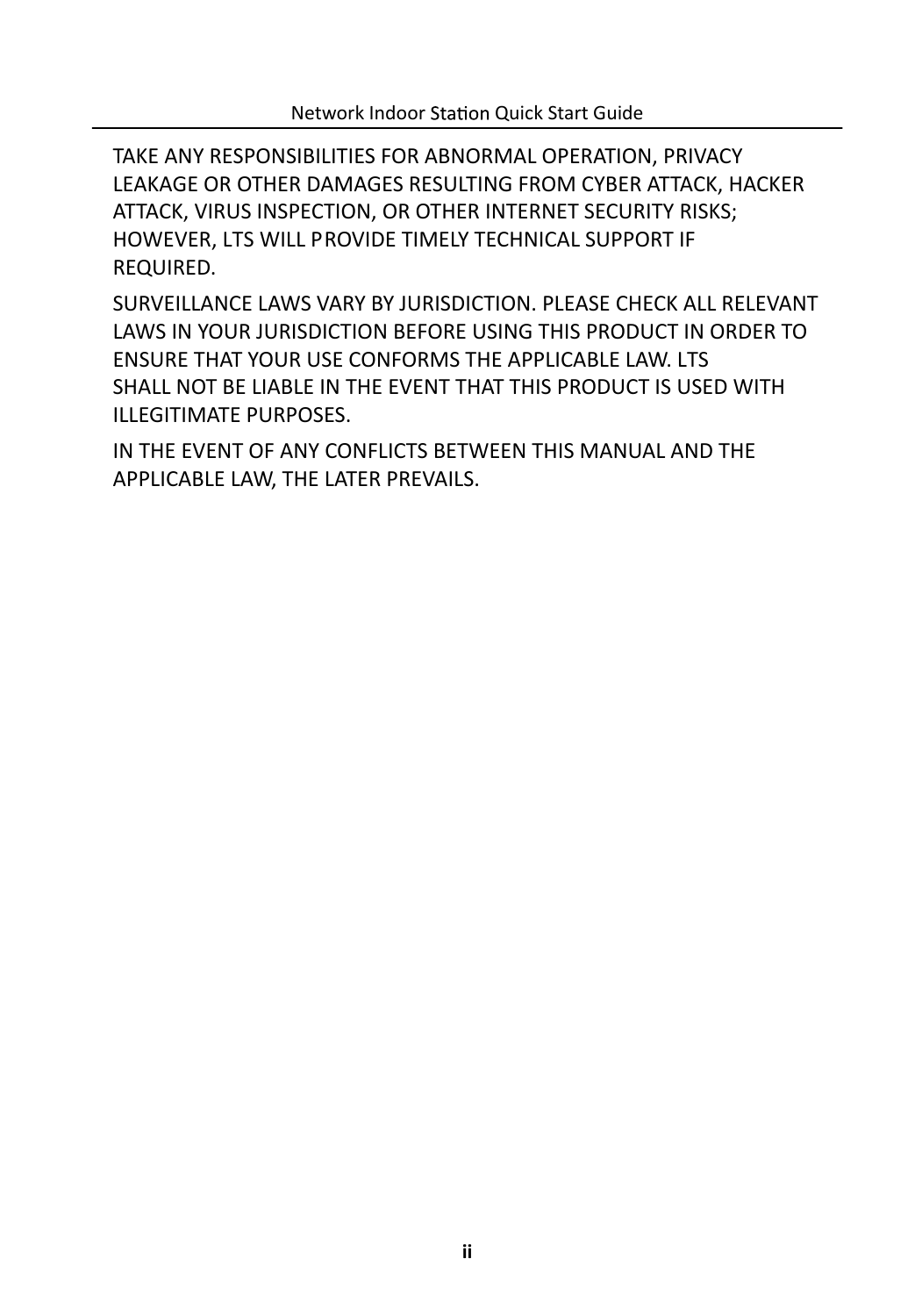TAKE ANY RESPONSIBILITIES FOR ABNORMAL OPERATION, PRIVACY LEAKAGE OR OTHER DAMAGES RESULTING FROM CYBER ATTACK, HACKER ATTACK, VIRUS INSPECTION, OR OTHER INTERNET SECURITY RISKS; HOWEVER, LTS WILL PROVIDE TIMELY TECHNICAL SUPPORT IF REQUIRED.

SURVEILLANCE LAWS VARY BY JURISDICTION. PLEASE CHECK ALL RELEVANT LAWS IN YOUR JURISDICTION BEFORE USING THIS PRODUCT IN ORDER TO ENSURE THAT YOUR USE CONFORMS THE APPLICABLE LAW. LTS SHALL NOT BE LIABLE IN THE EVENT THAT THIS PRODUCT IS USED WITH ILLEGITIMATE PURPOSES.

IN THE EVENT OF ANY CONFLICTS BETWEEN THIS MANUAL AND THE APPLICABLE LAW, THE LATER PREVAILS.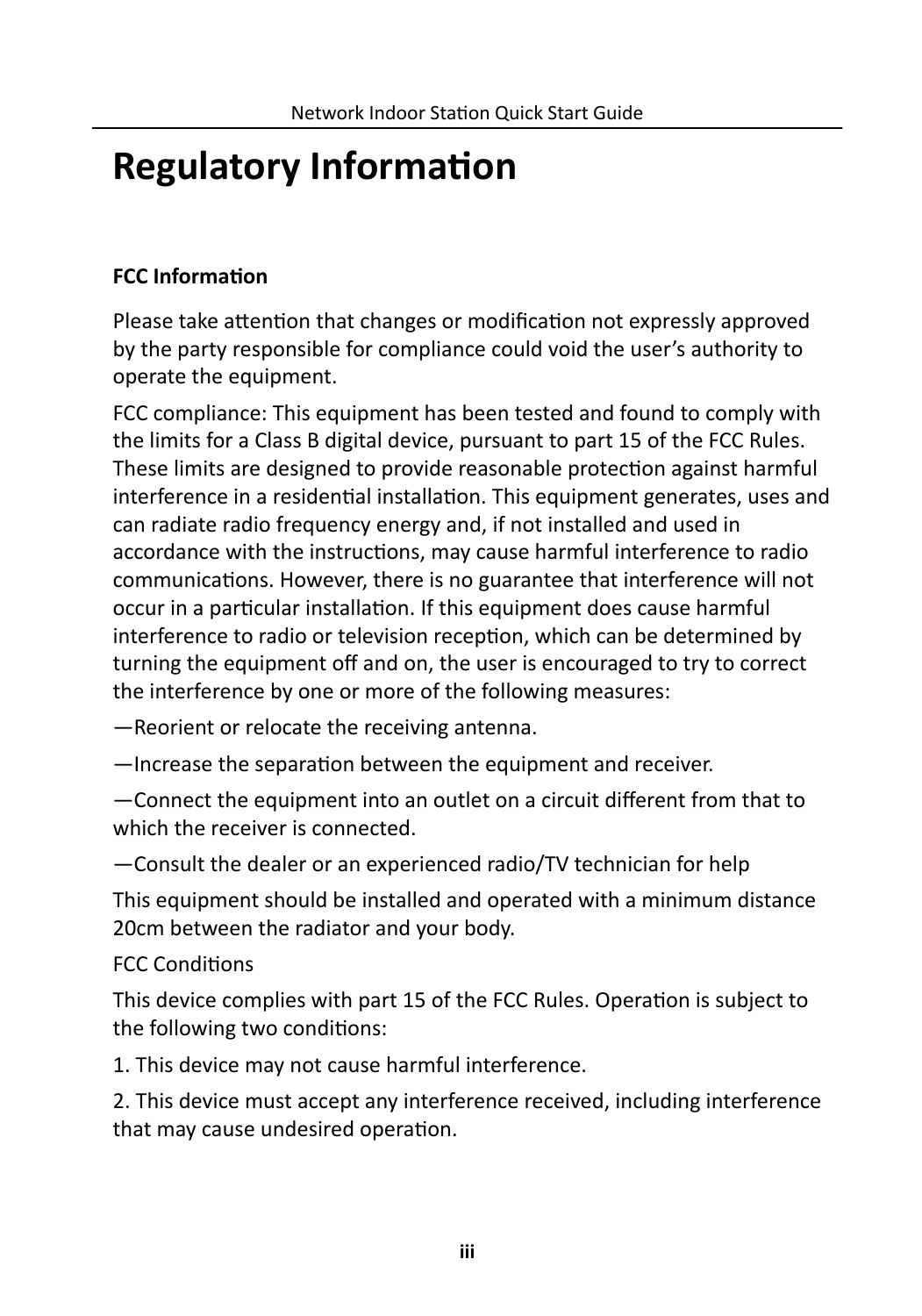# **Regulatory Information**

## **FCC Information**

Please take attention that changes or modification not expressly approved by the party responsible for compliance could void the user's authority to operate the equipment.

FCC compliance: This equipment has been tested and found to comply with the limits for a Class B digital device, pursuant to part 15 of the FCC Rules. These limits are designed to provide reasonable protection against harmful interference in a residential installation. This equipment generates, uses and can radiate radio frequency energy and, if not installed and used in accordance with the instructions, may cause harmful interference to radio communications. However, there is no guarantee that interference will not occur in a particular installation. If this equipment does cause harmful interference to radio or television reception, which can be determined by turning the equipment off and on, the user is encouraged to try to correct the interference by one or more of the following measures:

—Reorient or relocate the receiving antenna.

 $-$ Increase the separation between the equipment and receiver.

—Connect the equipment into an outlet on a circuit different from that to which the receiver is connected.

—Consult the dealer or an experienced radio/TV technician for help

This equipment should be installed and operated with a minimum distance 20cm between the radiator and your body.

### FCC Conditions

This device complies with part 15 of the FCC Rules. Operation is subject to the following two conditions:

1. This device may not cause harmful interference.

2. This device must accept any interference received, including interference that may cause undesired operation.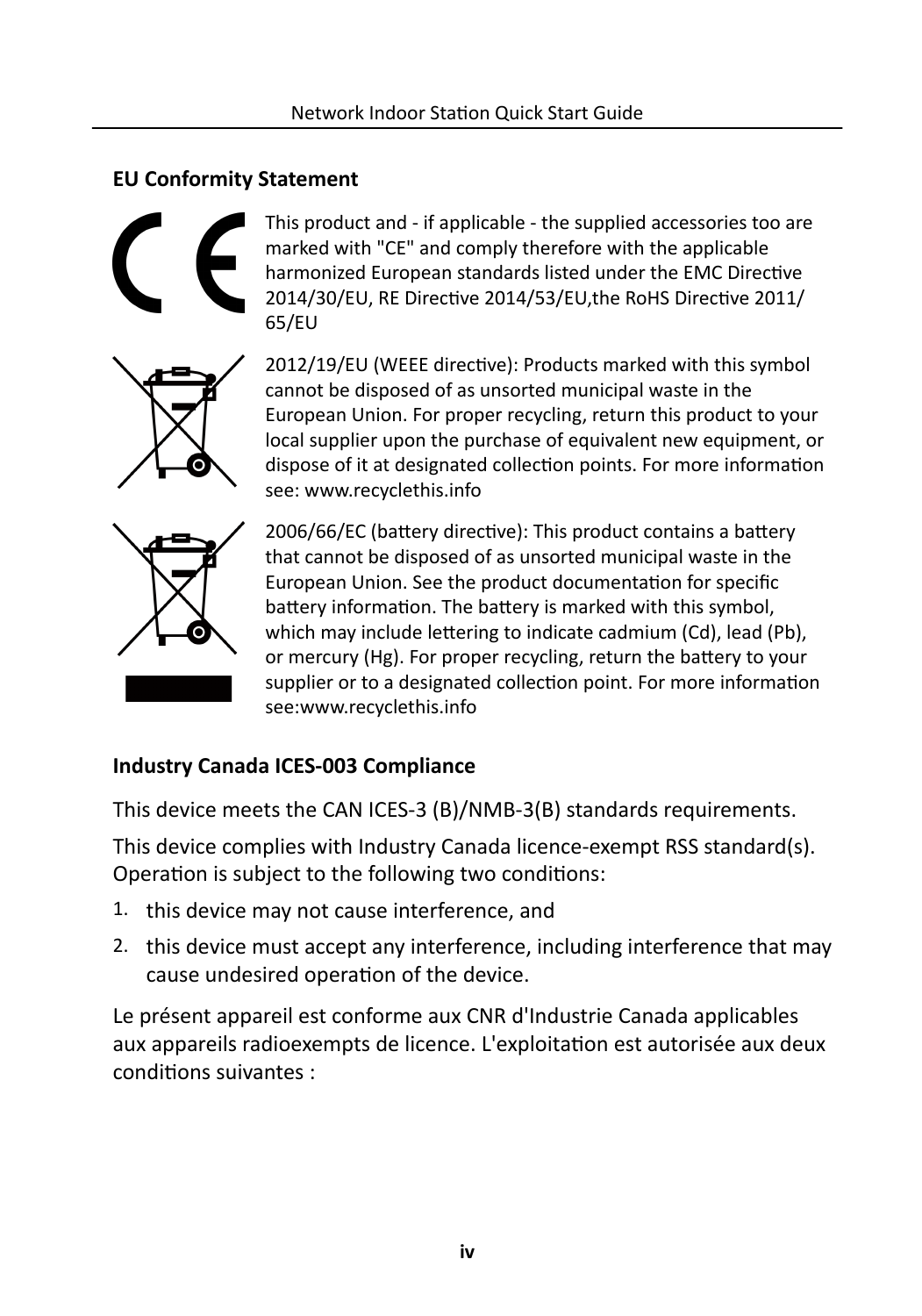## **EU Conformity Statement**



This product and - if applicable - the supplied accessories too are marked with "CE" and comply therefore with the applicable harmonized European standards listed under the EMC Directive 2014/30/EU, RE Directive 2014/53/EU,the RoHS Directive 2011/ 65/EU



2012/19/EU (WEEE directive): Products marked with this symbol cannot be disposed of as unsorted municipal waste in the European Union. For proper recycling, return this product to your local supplier upon the purchase of equivalent new equipment, or dispose of it at designated collection points. For more information see: www.recyclethis.info



2006/66/EC (battery directive): This product contains a battery that cannot be disposed of as unsorted municipal waste in the European Union. See the product documentation for specific battery information. The battery is marked with this symbol, which may include lettering to indicate cadmium (Cd), lead (Pb), or mercury (Hg). For proper recycling, return the battery to your supplier or to a designated collection point. For more information see:www.recyclethis.info

### **Industry Canada ICES-003 Compliance**

This device meets the CAN ICES-3 (B)/NMB-3(B) standards requirements.

This device complies with Industry Canada licence-exempt RSS standard(s). Operation is subject to the following two conditions:

- 1. this device may not cause interference, and
- 2. this device must accept any interference, including interference that may cause undesired operation of the device.

Le présent appareil est conforme aux CNR d'Industrie Canada applicables aux appareils radioexempts de licence. L'exploitation est autorisée aux deux conditions suivantes :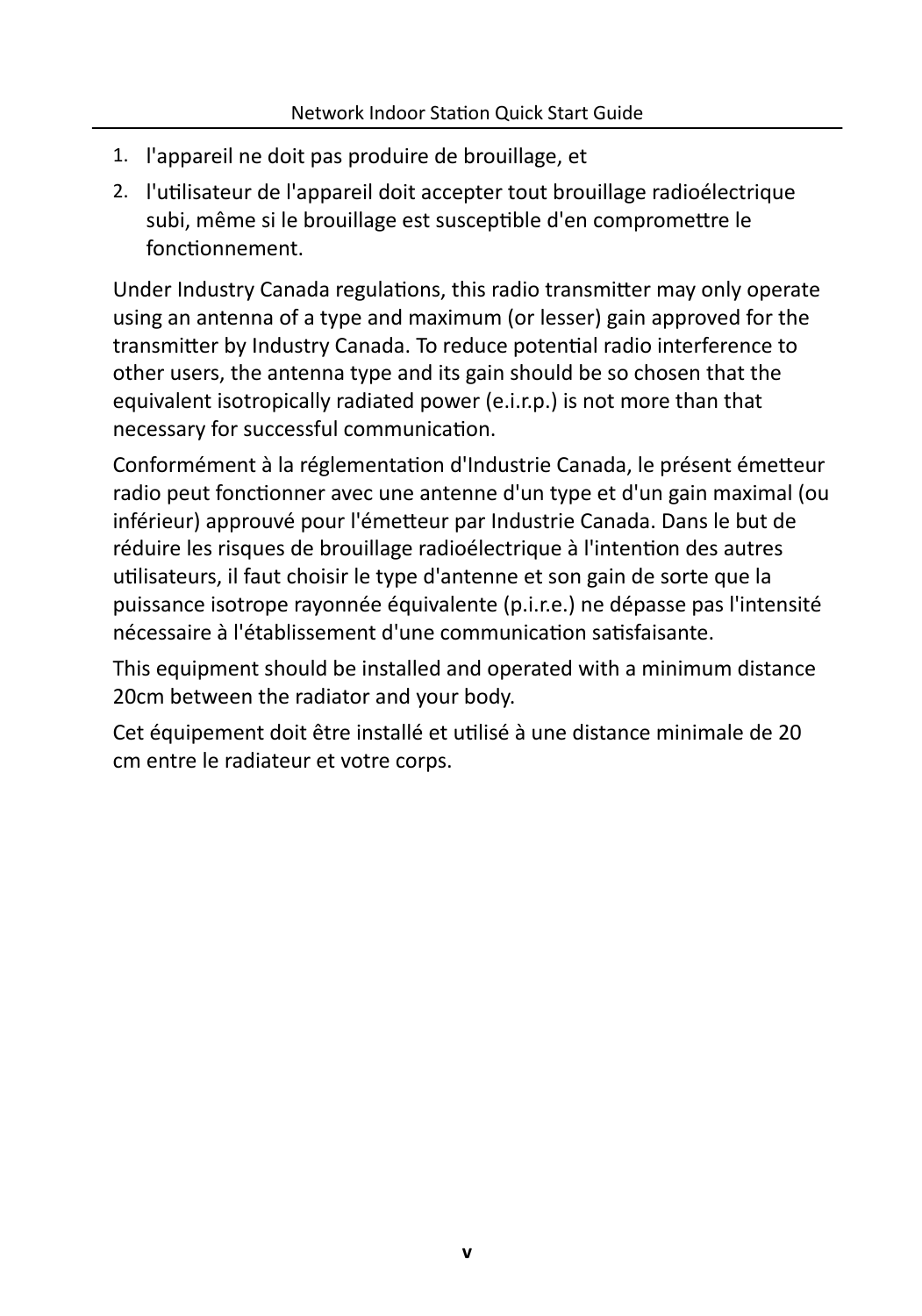- 1. l'appareil ne doit pas produire de brouillage, et
- 2. l'utilisateur de l'appareil doit accepter tout brouillage radioélectrique subi, même si le brouillage est susceptible d'en compromettre le fonctionnement.

Under Industry Canada regulations, this radio transmitter may only operate using an antenna of a type and maximum (or lesser) gain approved for the transmitter by Industry Canada. To reduce potential radio interference to other users, the antenna type and its gain should be so chosen that the equivalent isotropically radiated power (e.i.r.p.) is not more than that necessary for successful communication.

Conformément à la réglementation d'Industrie Canada, le présent émetteur radio peut fonctionner avec une antenne d'un type et d'un gain maximal (ou inférieur) approuvé pour l'émetteur par Industrie Canada. Dans le but de réduire les risques de brouillage radioélectrique à l'intention des autres utilisateurs, il faut choisir le type d'antenne et son gain de sorte que la puissance isotrope rayonnée équivalente (p.i.r.e.) ne dépasse pas l'intensité nécessaire à l'établissement d'une communication satisfaisante.

This equipment should be installed and operated with a minimum distance 20cm between the radiator and your body.

Cet équipement doit être installé et utilisé à une distance minimale de 20 cm entre le radiateur et votre corps.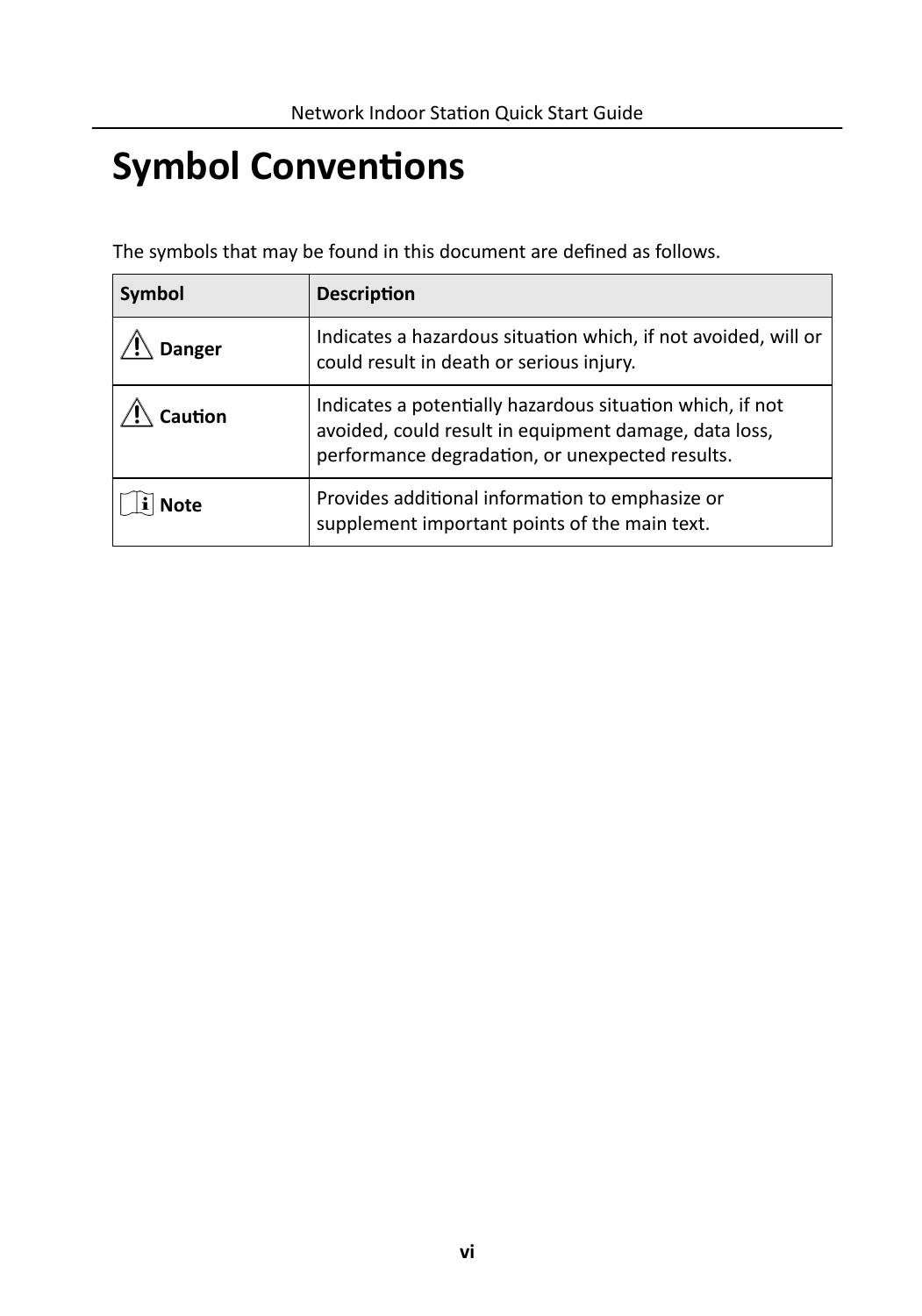# **Symbol Conventions**

The symbols that may be found in this document are defined as follows.

| Symbol        | <b>Description</b>                                                                                                                                                    |  |
|---------------|-----------------------------------------------------------------------------------------------------------------------------------------------------------------------|--|
| <b>Danger</b> | Indicates a hazardous situation which, if not avoided, will or<br>could result in death or serious injury.                                                            |  |
| aution:       | Indicates a potentially hazardous situation which, if not<br>avoided, could result in equipment damage, data loss,<br>performance degradation, or unexpected results. |  |
| <b>Note</b>   | Provides additional information to emphasize or<br>supplement important points of the main text.                                                                      |  |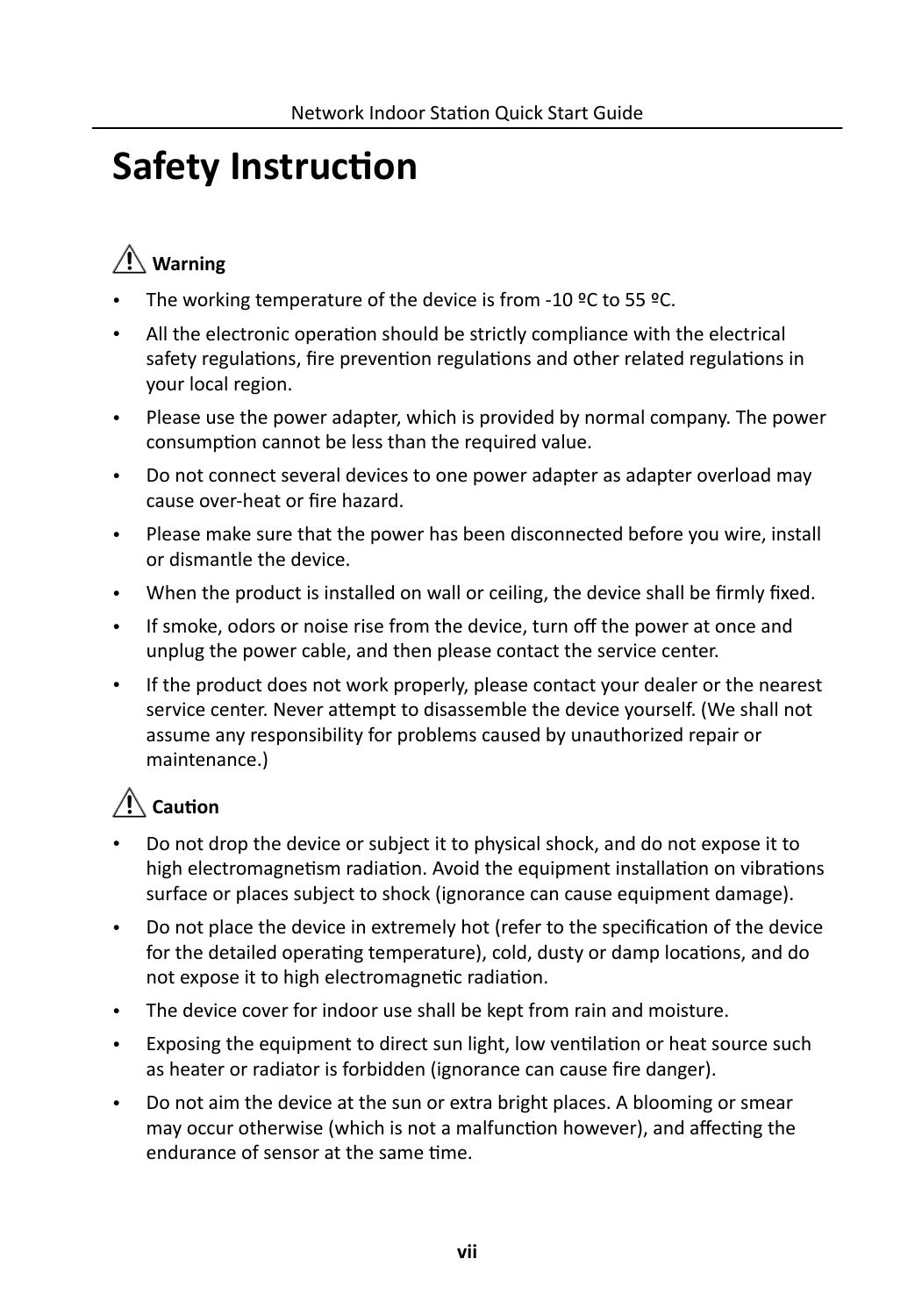# **Safety Instruction**

# **Warning**

- The working temperature of the device is from -10 °C to 55 °C.
- All the electronic operation should be strictly compliance with the electrical safety regulations, fire prevention regulations and other related regulations in your local region.
- Please use the power adapter, which is provided by normal company. The power consumption cannot be less than the required value.
- Do not connect several devices to one power adapter as adapter overload may cause over-heat or fire hazard.
- Please make sure that the power has been disconnected before you wire, install or dismantle the device.
- When the product is installed on wall or ceiling, the device shall be firmly fixed.
- If smoke, odors or noise rise from the device, turn off the power at once and unplug the power cable, and then please contact the service center.
- If the product does not work properly, please contact your dealer or the nearest service center. Never attempt to disassemble the device yourself. (We shall not assume any responsibility for problems caused by unauthorized repair or maintenance.)

## A Caution

- Do not drop the device or subject it to physical shock, and do not expose it to high electromagnetism radiation. Avoid the equipment installation on vibrations surface or places subject to shock (ignorance can cause equipment damage).
- Do not place the device in extremely hot (refer to the specification of the device for the detailed operating temperature), cold, dusty or damp locations, and do not expose it to high electromagnetic radiation.
- The device cover for indoor use shall be kept from rain and moisture.
- Exposing the equipment to direct sun light, low ventilation or heat source such as heater or radiator is forbidden (ignorance can cause fire danger).
- Do not aim the device at the sun or extra bright places. A blooming or smear may occur otherwise (which is not a malfunction however), and affecting the endurance of sensor at the same time.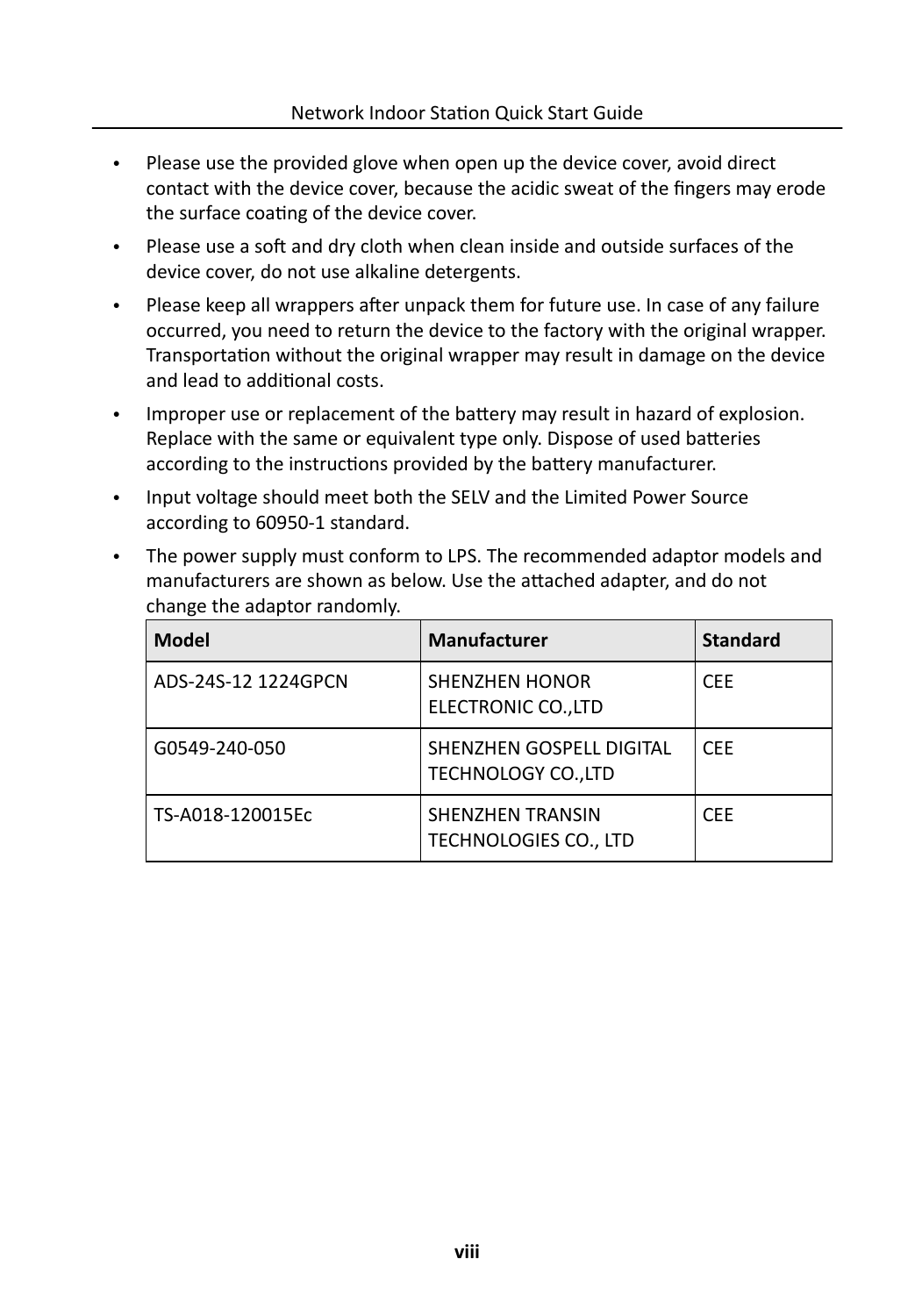- Please use the provided glove when open up the device cover, avoid direct contact with the device cover, because the acidic sweat of the fingers may erode the surface coating of the device cover.
- Please use a soft and dry cloth when clean inside and outside surfaces of the device cover, do not use alkaline detergents.
- Please keep all wrappers after unpack them for future use. In case of any failure occurred, you need to return the device to the factory with the original wrapper. Transportation without the original wrapper may result in damage on the device and lead to additional costs.
- Improper use or replacement of the battery may result in hazard of explosion. Replace with the same or equivalent type only. Dispose of used batteries according to the instructions provided by the battery manufacturer.
- Input voltage should meet both the SELV and the Limited Power Source according to 60950-1 standard.
- The power supply must conform to LPS. The recommended adaptor models and manufacturers are shown as below. Use the attached adapter, and do not change the adaptor randomly.

| <b>Model</b>        | <b>Manufacturer</b>                              | <b>Standard</b> |
|---------------------|--------------------------------------------------|-----------------|
| ADS-24S-12 1224GPCN | <b>SHENZHEN HONOR</b><br>ELECTRONIC CO., LTD     | <b>CEE</b>      |
| G0549-240-050       | SHENZHEN GOSPELL DIGITAL<br>TECHNOLOGY CO., LTD  | CFF.            |
| TS-A018-120015Ec    | <b>SHENZHEN TRANSIN</b><br>TECHNOLOGIES CO., LTD | <b>CEE</b>      |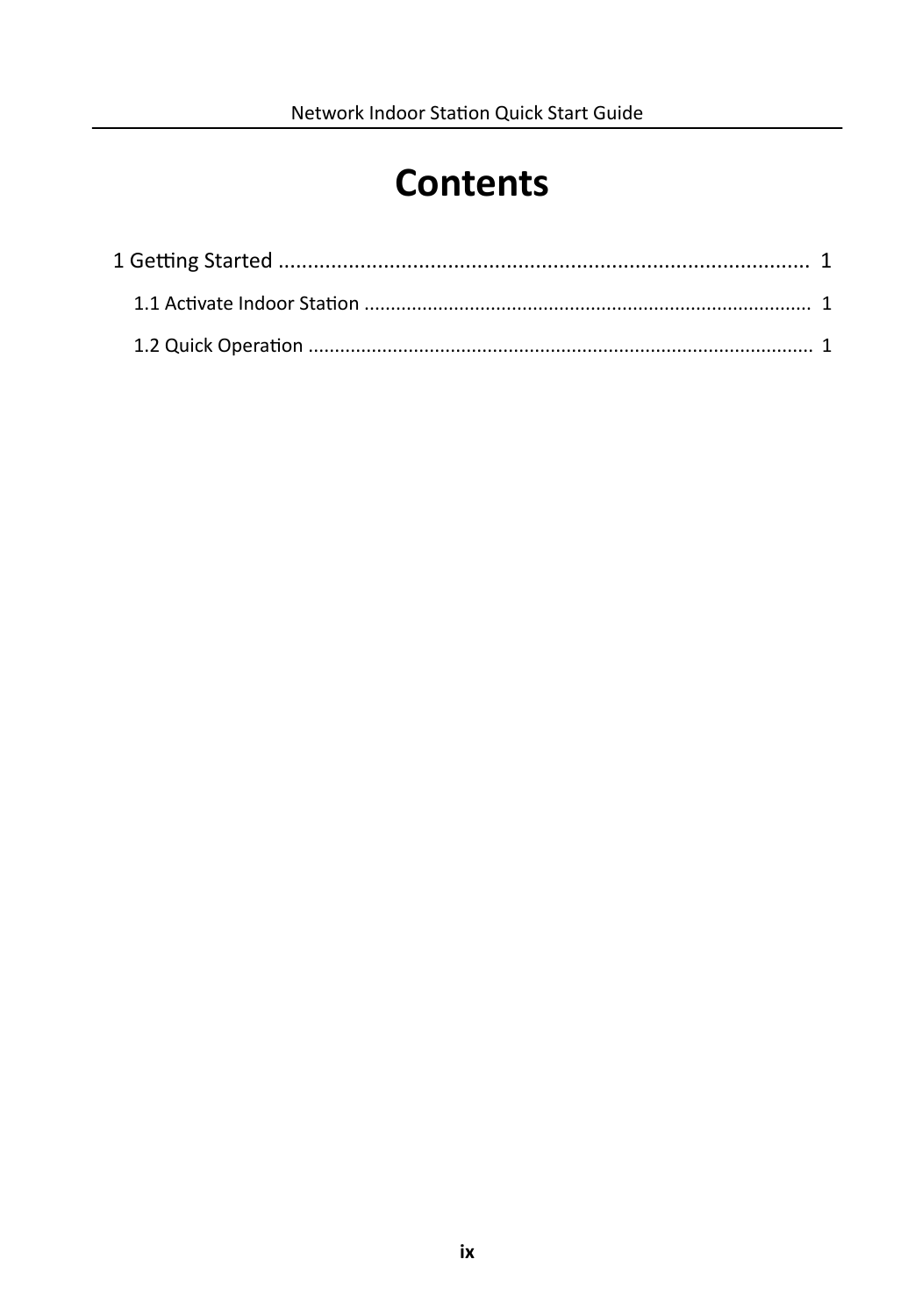# **Contents**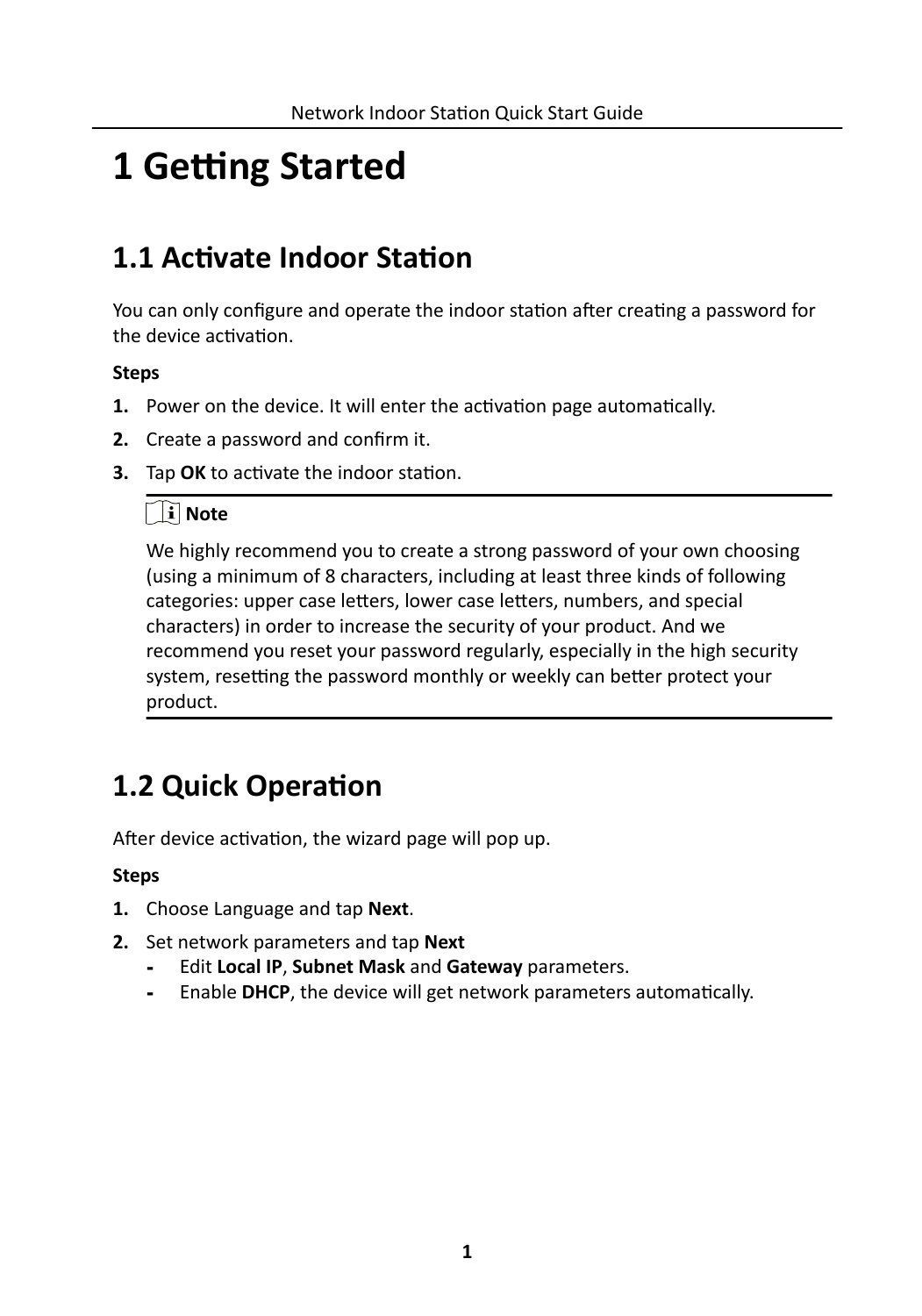# <span id="page-10-0"></span>**1 Getting Started**

## **1.1 Activate Indoor Station**

You can only configure and operate the indoor station after creating a password for the device activation.

### **Steps**

- **1.** Power on the device. It will enter the activation page automatically.
- **2.** Create a password and confirm it.
- **3.** Tap OK to activate the indoor station.

### $\ulcorner$  i $\urcorner$  Note

We highly recommend you to create a strong password of your own choosing (using a minimum of 8 characters, including at least three kinds of following categories: upper case letters, lower case letters, numbers, and special characters) in order to increase the security of your product. And we recommend you reset your password regularly, especially in the high security system, resetting the password monthly or weekly can better protect your product.

## **1.2 Quick Operation**

After device activation, the wizard page will pop up.

### **Steps**

- **1.** Choose Language and tap **Next**.
- **2.** Set network parameters and tap **Next**
	- **-** Edit **Local IP**, **Subnet Mask** and **Gateway** parameters.
	- **-** Enable **DHCP**, the device will get network parameters automatically.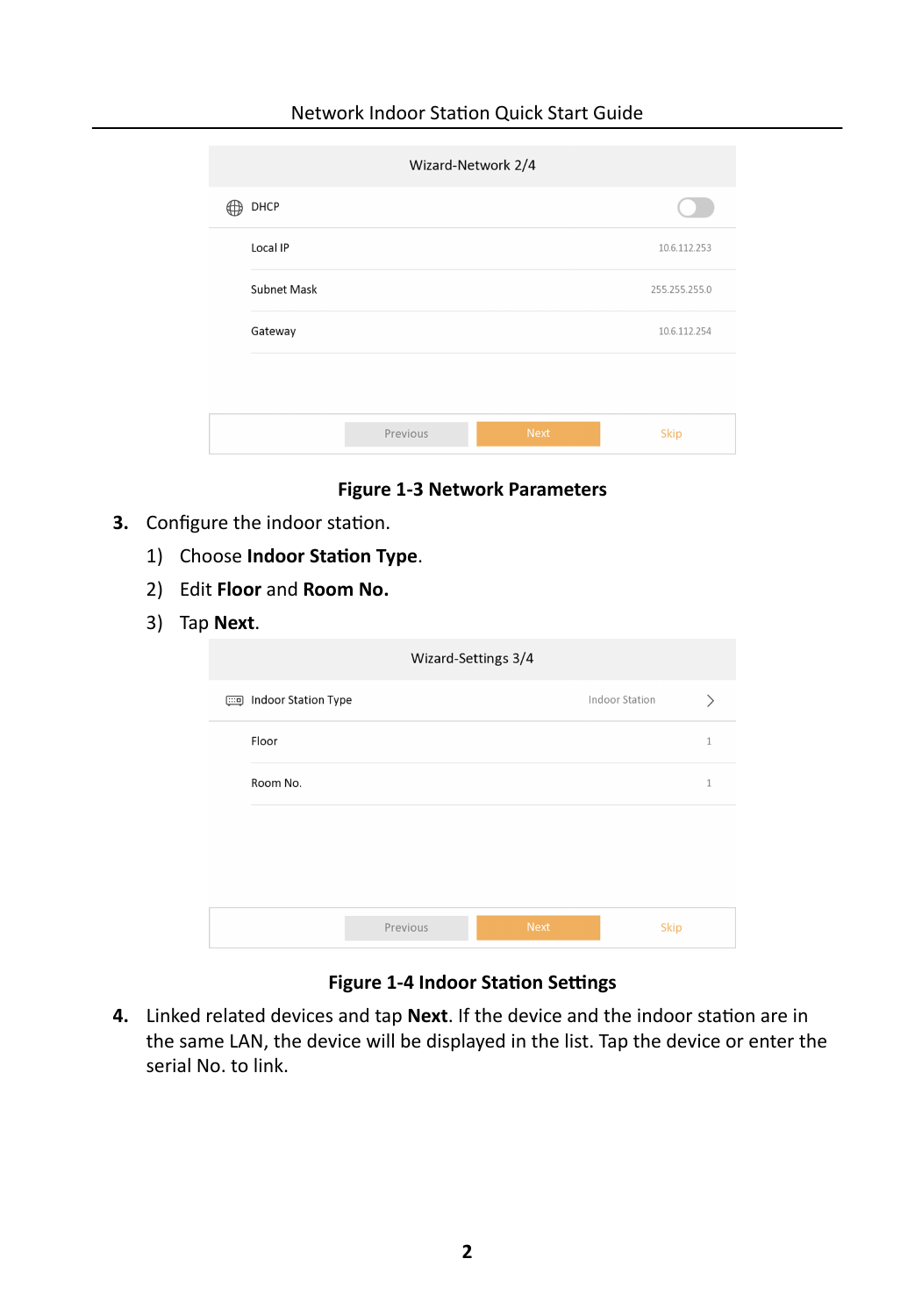#### Network Indoor Station Quick Start Guide

| Wizard-Network 2/4 |             |               |  |
|--------------------|-------------|---------------|--|
|                    |             |               |  |
|                    |             | 10.6.112.253  |  |
|                    |             | 255.255.255.0 |  |
|                    |             | 10.6.112.254  |  |
|                    |             |               |  |
| Previous           | <b>Next</b> | Skip          |  |
|                    |             |               |  |

**Figure 1-3 Network Parameters**

- **3.** Configure the indoor station.
	- 1) Choose **Indoor Station Type**.
	- 2) Edit **Floor** and **Room No.**
	- 3) Tap **Next**.

| Wizard-Settings 3/4       |          |             |                |  |
|---------------------------|----------|-------------|----------------|--|
| [111] Indoor Station Type |          |             | Indoor Station |  |
| Floor                     |          |             | $\mathbf{1}$   |  |
| Room No.                  |          |             | 1              |  |
|                           |          |             |                |  |
|                           |          |             |                |  |
|                           |          |             |                |  |
|                           | Previous | <b>Next</b> | <b>Skip</b>    |  |

**Figure 1-4 Indoor Station Settings** 

4. Linked related devices and tap Next. If the device and the indoor station are in the same LAN, the device will be displayed in the list. Tap the device or enter the serial No. to link.